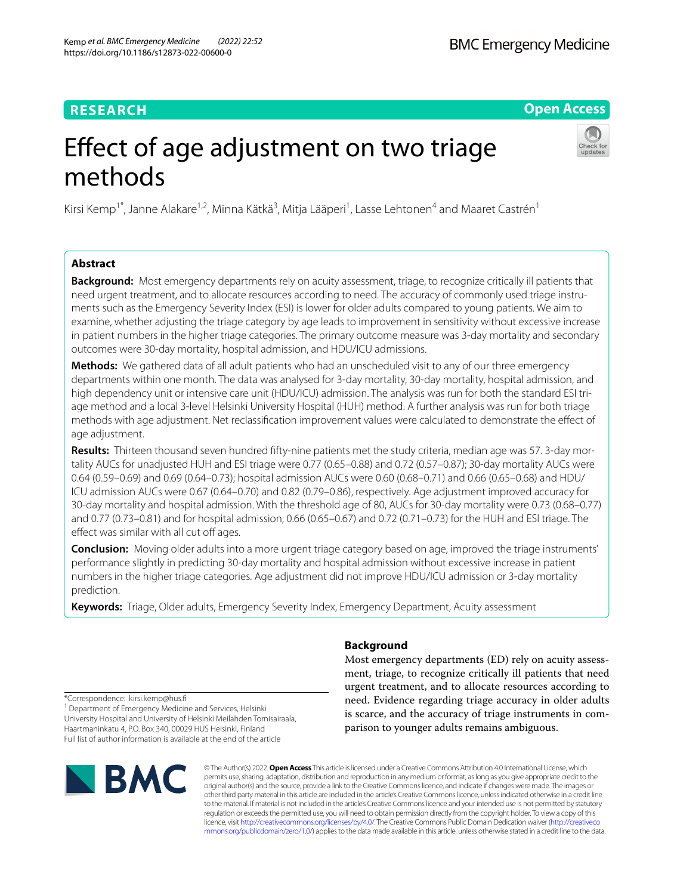# **RESEARCH**

**Open Access**

# Effect of age adjustment on two triage methods

Kirsi Kemp<sup>1\*</sup>, Janne Alakare<sup>1,2</sup>, Minna Kätkä<sup>3</sup>, Mitja Lääperi<sup>1</sup>, Lasse Lehtonen<sup>4</sup> and Maaret Castrén<sup>1</sup>

# **Abstract**

**Background:** Most emergency departments rely on acuity assessment, triage, to recognize critically ill patients that need urgent treatment, and to allocate resources according to need. The accuracy of commonly used triage instruments such as the Emergency Severity Index (ESI) is lower for older adults compared to young patients. We aim to examine, whether adjusting the triage category by age leads to improvement in sensitivity without excessive increase in patient numbers in the higher triage categories. The primary outcome measure was 3-day mortality and secondary outcomes were 30-day mortality, hospital admission, and HDU/ICU admissions.

**Methods:** We gathered data of all adult patients who had an unscheduled visit to any of our three emergency departments within one month. The data was analysed for 3-day mortality, 30-day mortality, hospital admission, and high dependency unit or intensive care unit (HDU/ICU) admission. The analysis was run for both the standard ESI triage method and a local 3-level Helsinki University Hospital (HUH) method. A further analysis was run for both triage methods with age adjustment. Net reclassifcation improvement values were calculated to demonstrate the efect of age adjustment.

**Results:** Thirteen thousand seven hundred ffty-nine patients met the study criteria, median age was 57. 3-day mortality AUCs for unadjusted HUH and ESI triage were 0.77 (0.65–0.88) and 0.72 (0.57–0.87); 30-day mortality AUCs were 0.64 (0.59–0.69) and 0.69 (0.64–0.73); hospital admission AUCs were 0.60 (0.68–0.71) and 0.66 (0.65–0.68) and HDU/ ICU admission AUCs were 0.67 (0.64–0.70) and 0.82 (0.79–0.86), respectively. Age adjustment improved accuracy for 30-day mortality and hospital admission. With the threshold age of 80, AUCs for 30-day mortality were 0.73 (0.68–0.77) and 0.77 (0.73–0.81) and for hospital admission, 0.66 (0.65–0.67) and 0.72 (0.71–0.73) for the HUH and ESI triage. The effect was similar with all cut off ages.

**Conclusion:** Moving older adults into a more urgent triage category based on age, improved the triage instruments' performance slightly in predicting 30-day mortality and hospital admission without excessive increase in patient numbers in the higher triage categories. Age adjustment did not improve HDU/ICU admission or 3-day mortality prediction.

**Keywords:** Triage, Older adults, Emergency Severity Index, Emergency Department, Acuity assessment

# **Background**

Most emergency departments (ED) rely on acuity assessment, triage, to recognize critically ill patients that need urgent treatment, and to allocate resources according to need. Evidence regarding triage accuracy in older adults is scarce, and the accuracy of triage instruments in comparison to younger adults remains ambiguous.

\*Correspondence: kirsi.kemp@hus.f

<sup>1</sup> Department of Emergency Medicine and Services, Helsinki University Hospital and University of Helsinki Meilahden Tornisairaala, Haartmaninkatu 4, P.O. Box 340, 00029 HUS Helsinki, Finland Full list of author information is available at the end of the article



© The Author(s) 2022. **Open Access** This article is licensed under a Creative Commons Attribution 4.0 International License, which permits use, sharing, adaptation, distribution and reproduction in any medium or format, as long as you give appropriate credit to the original author(s) and the source, provide a link to the Creative Commons licence, and indicate if changes were made. The images or other third party material in this article are included in the article's Creative Commons licence, unless indicated otherwise in a credit line to the material. If material is not included in the article's Creative Commons licence and your intended use is not permitted by statutory regulation or exceeds the permitted use, you will need to obtain permission directly from the copyright holder. To view a copy of this licence, visit [http://creativecommons.org/licenses/by/4.0/.](http://creativecommons.org/licenses/by/4.0/) The Creative Commons Public Domain Dedication waiver ([http://creativeco](http://creativecommons.org/publicdomain/zero/1.0/) [mmons.org/publicdomain/zero/1.0/](http://creativecommons.org/publicdomain/zero/1.0/)) applies to the data made available in this article, unless otherwise stated in a credit line to the data.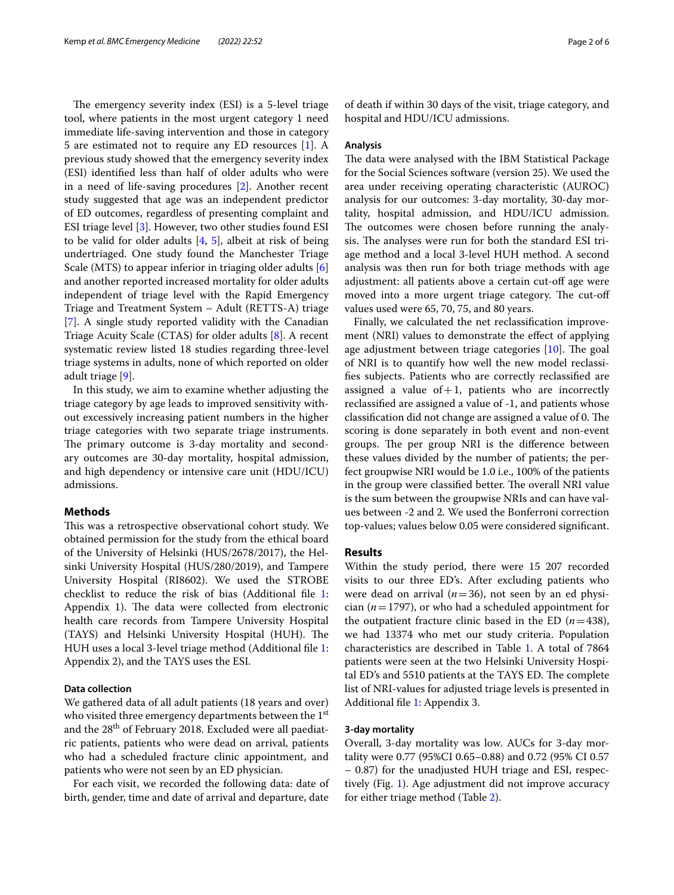The emergency severity index (ESI) is a 5-level triage tool, where patients in the most urgent category 1 need immediate life-saving intervention and those in category 5 are estimated not to require any ED resources [\[1](#page-5-0)]. A previous study showed that the emergency severity index (ESI) identifed less than half of older adults who were in a need of life-saving procedures [\[2](#page-5-1)]. Another recent study suggested that age was an independent predictor of ED outcomes, regardless of presenting complaint and ESI triage level [\[3](#page-5-2)]. However, two other studies found ESI to be valid for older adults [\[4](#page-5-3), [5\]](#page-5-4), albeit at risk of being undertriaged. One study found the Manchester Triage Scale (MTS) to appear inferior in triaging older adults [\[6](#page-5-5)] and another reported increased mortality for older adults independent of triage level with the Rapid Emergency Triage and Treatment System – Adult (RETTS-A) triage [[7\]](#page-5-6). A single study reported validity with the Canadian Triage Acuity Scale (CTAS) for older adults [\[8](#page-5-7)]. A recent systematic review listed 18 studies regarding three-level triage systems in adults, none of which reported on older adult triage [[9\]](#page-5-8).

In this study, we aim to examine whether adjusting the triage category by age leads to improved sensitivity without excessively increasing patient numbers in the higher triage categories with two separate triage instruments. The primary outcome is 3-day mortality and secondary outcomes are 30-day mortality, hospital admission, and high dependency or intensive care unit (HDU/ICU) admissions.

## **Methods**

This was a retrospective observational cohort study. We obtained permission for the study from the ethical board of the University of Helsinki (HUS/2678/2017), the Helsinki University Hospital (HUS/280/2019), and Tampere University Hospital (RI8602). We used the STROBE checklist to reduce the risk of bias (Additional fle [1](#page-4-0): Appendix 1). The data were collected from electronic health care records from Tampere University Hospital (TAYS) and Helsinki University Hospital (HUH). The HUH uses a local 3-level triage method (Additional fle [1](#page-4-0): Appendix 2), and the TAYS uses the ESI.

## **Data collection**

We gathered data of all adult patients (18 years and over) who visited three emergency departments between the 1<sup>st</sup> and the 28<sup>th</sup> of February 2018. Excluded were all paediatric patients, patients who were dead on arrival, patients who had a scheduled fracture clinic appointment, and patients who were not seen by an ED physician.

For each visit, we recorded the following data: date of birth, gender, time and date of arrival and departure, date of death if within 30 days of the visit, triage category, and hospital and HDU/ICU admissions.

## **Analysis**

The data were analysed with the IBM Statistical Package for the Social Sciences software (version 25). We used the area under receiving operating characteristic (AUROC) analysis for our outcomes: 3-day mortality, 30-day mortality, hospital admission, and HDU/ICU admission. The outcomes were chosen before running the analysis. The analyses were run for both the standard ESI triage method and a local 3-level HUH method. A second analysis was then run for both triage methods with age adjustment: all patients above a certain cut-off age were moved into a more urgent triage category. The cut-off values used were 65, 70, 75, and 80 years.

Finally, we calculated the net reclassifcation improvement (NRI) values to demonstrate the efect of applying age adjustment between triage categories  $[10]$  $[10]$ . The goal of NRI is to quantify how well the new model reclassifes subjects. Patients who are correctly reclassifed are assigned a value of  $+1$ , patients who are incorrectly reclassifed are assigned a value of -1, and patients whose classification did not change are assigned a value of 0. The scoring is done separately in both event and non-event groups. The per group NRI is the difference between these values divided by the number of patients; the perfect groupwise NRI would be 1.0 i.e., 100% of the patients in the group were classified better. The overall NRI value is the sum between the groupwise NRIs and can have values between -2 and 2. We used the Bonferroni correction top-values; values below 0.05 were considered signifcant.

#### **Results**

Within the study period, there were 15 207 recorded visits to our three ED's. After excluding patients who were dead on arrival  $(n=36)$ , not seen by an ed physician (*n*=1797), or who had a scheduled appointment for the outpatient fracture clinic based in the ED  $(n=438)$ , we had 13374 who met our study criteria. Population characteristics are described in Table [1.](#page-2-0) A total of 7864 patients were seen at the two Helsinki University Hospital ED's and 5510 patients at the TAYS ED. The complete list of NRI-values for adjusted triage levels is presented in Additional fle [1](#page-4-0): Appendix 3.

#### **3‑day mortality**

Overall, 3-day mortality was low. AUCs for 3-day mortality were 0.77 (95%CI 0.65–0.88) and 0.72 (95% CI 0.57 – 0.87) for the unadjusted HUH triage and ESI, respectively (Fig. [1\)](#page-2-1). Age adjustment did not improve accuracy for either triage method (Table [2\)](#page-3-0).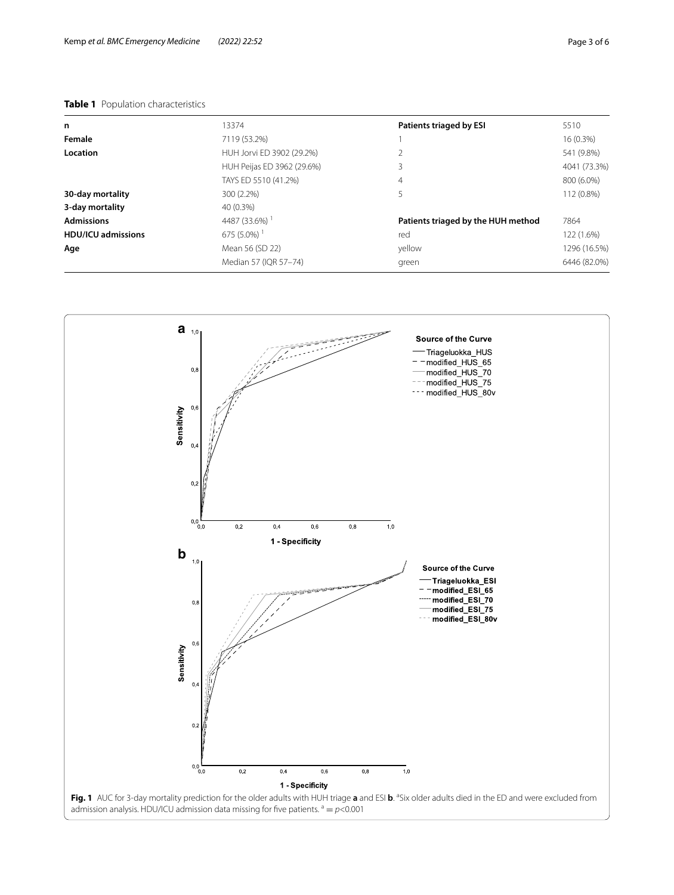# <span id="page-2-0"></span>**Table 1** Population characteristics

| n                         | 13374                      | <b>Patients triaged by ESI</b>     | 5510         |
|---------------------------|----------------------------|------------------------------------|--------------|
| Female                    | 7119 (53.2%)               |                                    | 16 (0.3%)    |
| Location                  | HUH Jorvi ED 3902 (29.2%)  | 2                                  | 541 (9.8%)   |
|                           | HUH Peijas ED 3962 (29.6%) | 3                                  | 4041 (73.3%) |
|                           | TAYS ED 5510 (41.2%)       | 4                                  | 800 (6.0%)   |
| 30-day mortality          | 300 (2.2%)                 | 5                                  | 112 (0.8%)   |
| 3-day mortality           | 40 (0.3%)                  |                                    |              |
| <b>Admissions</b>         | 4487 (33.6%) <sup>1</sup>  | Patients triaged by the HUH method | 7864         |
| <b>HDU/ICU admissions</b> | $675(5.0\%)$               | red                                | 122 (1.6%)   |
| Age                       | Mean 56 (SD 22)            | yellow                             | 1296 (16.5%) |
|                           | Median 57 (IQR 57-74)      | green                              | 6446 (82.0%) |
|                           |                            |                                    |              |

<span id="page-2-1"></span>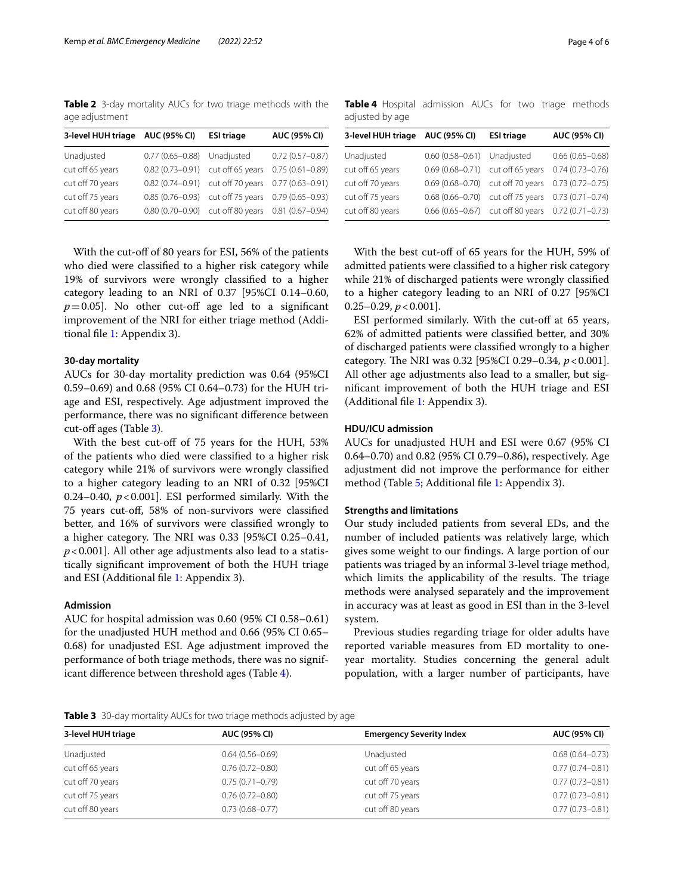<span id="page-3-0"></span>**Table 2** 3-day mortality AUCs for two triage methods with the age adjustment

| 3-level HUH triage | <b>AUC (95% CI)</b> | <b>ESI triage</b> | <b>AUC (95% CI)</b> |
|--------------------|---------------------|-------------------|---------------------|
| Unadjusted         | $0.77(0.65 - 0.88)$ | Unadjusted        | $0.72(0.57 - 0.87)$ |
| cut off 65 years   | $0.82(0.73 - 0.91)$ | cut off 65 years  | $0.75(0.61 - 0.89)$ |
| cut off 70 years   | $0.82(0.74 - 0.91)$ | cut off 70 years  | $0.77(0.63 - 0.91)$ |
| cut off 75 years   | $0.85(0.76 - 0.93)$ | cut off 75 years  | $0.79(0.65 - 0.93)$ |
| cut off 80 years   | $0.80(0.70 - 0.90)$ | cut off 80 years  | $0.81(0.67 - 0.94)$ |

With the cut-off of 80 years for ESI, 56% of the patients who died were classifed to a higher risk category while 19% of survivors were wrongly classifed to a higher category leading to an NRI of 0.37 [95%CI 0.14–0.60,  $p=0.05$ ]. No other cut-off age led to a significant improvement of the NRI for either triage method (Additional fle [1](#page-4-0): Appendix 3).

#### **30‑day mortality**

AUCs for 30-day mortality prediction was 0.64 (95%CI 0.59–0.69) and 0.68 (95% CI 0.64–0.73) for the HUH triage and ESI, respectively. Age adjustment improved the performance, there was no signifcant diference between  $cut-off$  ages (Table [3\)](#page-3-1).

With the best cut-off of 75 years for the HUH, 53% of the patients who died were classifed to a higher risk category while 21% of survivors were wrongly classifed to a higher category leading to an NRI of 0.32 [95%CI 0.24–0.40,  $p < 0.001$ . ESI performed similarly. With the 75 years cut-of, 58% of non-survivors were classifed better, and 16% of survivors were classifed wrongly to a higher category. The NRI was  $0.33$  [95%CI  $0.25-0.41$ , *p*<0.001]. All other age adjustments also lead to a statistically signifcant improvement of both the HUH triage and ESI (Additional fle [1](#page-4-0): Appendix 3).

## **Admission**

AUC for hospital admission was 0.60 (95% CI 0.58–0.61) for the unadjusted HUH method and 0.66 (95% CI 0.65– 0.68) for unadjusted ESI. Age adjustment improved the performance of both triage methods, there was no significant diference between threshold ages (Table [4\)](#page-3-2).

<span id="page-3-2"></span>**Table 4** Hospital admission AUCs for two triage methods adjusted by age

| 3-level HUH triage | AUC (95% CI)                | <b>ESI triage</b>                 | <b>AUC (95% CI)</b> |
|--------------------|-----------------------------|-----------------------------------|---------------------|
| Unadjusted         | 0.60 (0.58-0.61) Unadjusted |                                   | $0.66(0.65 - 0.68)$ |
| cut off 65 years   |                             | 0.69 (0.68-0.71) cut off 65 years | $0.74(0.73 - 0.76)$ |
| cut off 70 years   | $0.69(0.68 - 0.70)$         | cut off 70 years                  | $0.73(0.72 - 0.75)$ |
| cut off 75 years   | $0.68(0.66 - 0.70)$         | cut off 75 years                  | $0.73(0.71 - 0.74)$ |
| cut off 80 years   | $0.66(0.65 - 0.67)$         | cut off 80 years                  | $0.72(0.71 - 0.73)$ |

With the best cut-of of 65 years for the HUH, 59% of admitted patients were classifed to a higher risk category while 21% of discharged patients were wrongly classifed to a higher category leading to an NRI of 0.27 [95%CI  $0.25 - 0.29$ ,  $p < 0.001$ ].

ESI performed similarly. With the cut-off at 65 years, 62% of admitted patients were classifed better, and 30% of discharged patients were classifed wrongly to a higher category. The NRI was 0.32 [95%CI 0.29–0.34,  $p < 0.001$ ]. All other age adjustments also lead to a smaller, but signifcant improvement of both the HUH triage and ESI (Additional fle [1](#page-4-0): Appendix 3).

#### **HDU/ICU admission**

AUCs for unadjusted HUH and ESI were 0.67 (95% CI 0.64–0.70) and 0.82 (95% CI 0.79–0.86), respectively. Age adjustment did not improve the performance for either method (Table [5;](#page-4-1) Additional file [1:](#page-4-0) Appendix 3).

## **Strengths and limitations**

Our study included patients from several EDs, and the number of included patients was relatively large, which gives some weight to our fndings. A large portion of our patients was triaged by an informal 3-level triage method, which limits the applicability of the results. The triage methods were analysed separately and the improvement in accuracy was at least as good in ESI than in the 3-level system.

Previous studies regarding triage for older adults have reported variable measures from ED mortality to oneyear mortality. Studies concerning the general adult population, with a larger number of participants, have

<span id="page-3-1"></span>**Table 3** 30-day mortality AUCs for two triage methods adjusted by age

| 3-level HUH triage | <b>AUC (95% CI)</b> | <b>Emergency Severity Index</b> | <b>AUC (95% CI)</b> |
|--------------------|---------------------|---------------------------------|---------------------|
| Unadjusted         | $0.64(0.56 - 0.69)$ | Unadjusted                      | $0.68(0.64 - 0.73)$ |
| cut off 65 years   | $0.76(0.72 - 0.80)$ | cut off 65 years                | $0.77(0.74 - 0.81)$ |
| cut off 70 years   | $0.75(0.71 - 0.79)$ | cut off 70 years                | $0.77(0.73 - 0.81)$ |
| cut off 75 years   | $0.76(0.72 - 0.80)$ | cut off 75 years                | $0.77(0.73 - 0.81)$ |
| cut off 80 years   | $0.73(0.68 - 0.77)$ | cut off 80 years                | $0.77(0.73 - 0.81)$ |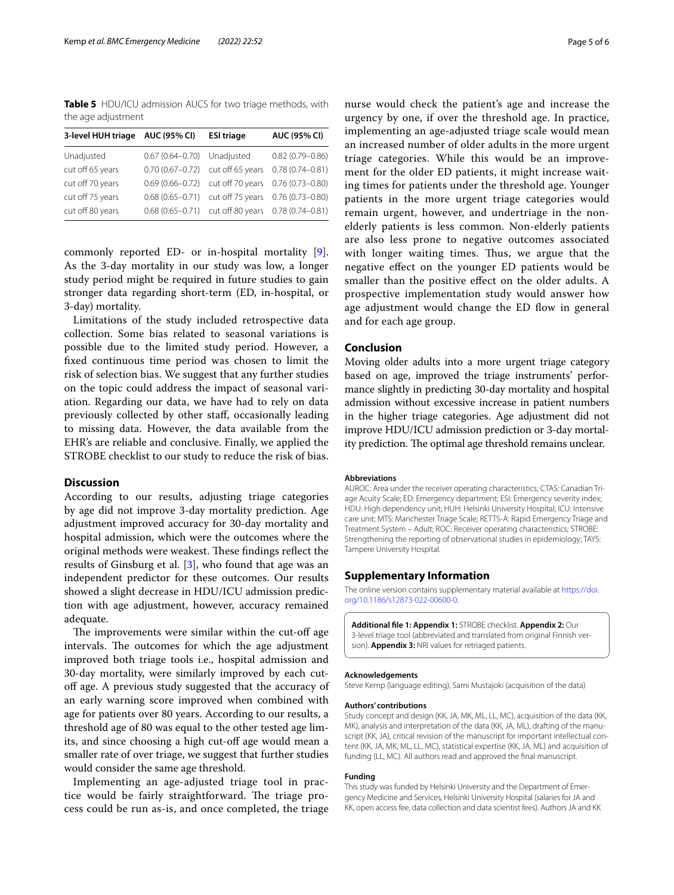<span id="page-4-1"></span>**Table 5** HDU/ICU admission AUCS for two triage methods, with the age adjustment

| 3-level HUH triage | <b>AUC (95% CI)</b> | <b>ESI triage</b> | AUC (95% CI)        |
|--------------------|---------------------|-------------------|---------------------|
| Unadjusted         | $0.67(0.64 - 0.70)$ | Unadjusted        | $0.82(0.79 - 0.86)$ |
| cut off 65 years   | $0.70(0.67 - 0.72)$ | cut off 65 years  | $0.78(0.74 - 0.81)$ |
| cut off 70 years   | $0.69(0.66 - 0.72)$ | cut off 70 years  | $0.76(0.73 - 0.80)$ |
| cut off 75 years   | $0.68(0.65 - 0.71)$ | cut off 75 years  | $0.76(0.73 - 0.80)$ |
| cut off 80 years   | $0.68(0.65 - 0.71)$ | cut off 80 years  | $0.78(0.74 - 0.81)$ |

commonly reported ED- or in-hospital mortality [\[9](#page-5-8)]. As the 3-day mortality in our study was low, a longer study period might be required in future studies to gain stronger data regarding short-term (ED, in-hospital, or 3-day) mortality.

Limitations of the study included retrospective data collection. Some bias related to seasonal variations is possible due to the limited study period. However, a fxed continuous time period was chosen to limit the risk of selection bias. We suggest that any further studies on the topic could address the impact of seasonal variation. Regarding our data, we have had to rely on data previously collected by other staf, occasionally leading to missing data. However, the data available from the EHR's are reliable and conclusive. Finally, we applied the STROBE checklist to our study to reduce the risk of bias.

# **Discussion**

According to our results, adjusting triage categories by age did not improve 3-day mortality prediction. Age adjustment improved accuracy for 30-day mortality and hospital admission, which were the outcomes where the original methods were weakest. These findings reflect the results of Ginsburg et al. [\[3](#page-5-2)], who found that age was an independent predictor for these outcomes. Our results showed a slight decrease in HDU/ICU admission prediction with age adjustment, however, accuracy remained adequate.

The improvements were similar within the cut-off age intervals. The outcomes for which the age adjustment improved both triage tools i.e., hospital admission and 30-day mortality, were similarly improved by each cutoff age. A previous study suggested that the accuracy of an early warning score improved when combined with age for patients over 80 years. According to our results, a threshold age of 80 was equal to the other tested age limits, and since choosing a high cut-of age would mean a smaller rate of over triage, we suggest that further studies would consider the same age threshold.

Implementing an age-adjusted triage tool in practice would be fairly straightforward. The triage process could be run as-is, and once completed, the triage nurse would check the patient's age and increase the urgency by one, if over the threshold age. In practice, implementing an age-adjusted triage scale would mean an increased number of older adults in the more urgent triage categories. While this would be an improvement for the older ED patients, it might increase waiting times for patients under the threshold age. Younger patients in the more urgent triage categories would remain urgent, however, and undertriage in the nonelderly patients is less common. Non-elderly patients are also less prone to negative outcomes associated with longer waiting times. Thus, we argue that the negative efect on the younger ED patients would be smaller than the positive efect on the older adults. A prospective implementation study would answer how age adjustment would change the ED flow in general and for each age group.

#### **Conclusion**

Moving older adults into a more urgent triage category based on age, improved the triage instruments' performance slightly in predicting 30-day mortality and hospital admission without excessive increase in patient numbers in the higher triage categories. Age adjustment did not improve HDU/ICU admission prediction or 3-day mortality prediction. The optimal age threshold remains unclear.

#### **Abbreviations**

AUROC: Area under the receiver operating characteristics; CTAS: Canadian Triage Acuity Scale; ED: Emergency department; ESI: Emergency severity index; HDU: High dependency unit; HUH: Helsinki University Hospital; ICU: Intensive care unit; MTS: Manchester Triage Scale; RETTS-A: Rapid Emergency Triage and Treatment System – Adult; ROC: Receiver operating characteristics; STROBE: Strengthening the reporting of observational studies in epidemiology; TAYS: Tampere University Hospital.

#### **Supplementary Information**

The online version contains supplementary material available at [https://doi.](https://doi.org/10.1186/s12873-022-00600-0) [org/10.1186/s12873-022-00600-0](https://doi.org/10.1186/s12873-022-00600-0).

<span id="page-4-0"></span>**Additional fle 1: Appendix 1:** STROBE checklist. **Appendix 2:** Our 3-level triage tool (abbreviated and translated from original Finnish version). **Appendix 3:** NRI values for retriaged patients.

#### **Acknowledgements**

Steve Kemp (language editing), Sami Mustajoki (acquisition of the data)

#### **Authors' contributions**

Study concept and design (KK, JA, MK, ML, LL, MC), acquisition of the data (KK, MK), analysis and interpretation of the data (KK, JA, ML), drafting of the manuscript (KK, JA), critical revision of the manuscript for important intellectual content (KK, JA, MK, ML, LL, MC), statistical expertise (KK, JA, ML) and acquisition of funding (LL, MC). All authors read and approved the fnal manuscript.

#### **Funding**

This study was funded by Helsinki University and the Department of Emergency Medicine and Services, Helsinki University Hospital (salaries for JA and KK, open access fee, data collection and data scientist fees). Authors JA and KK